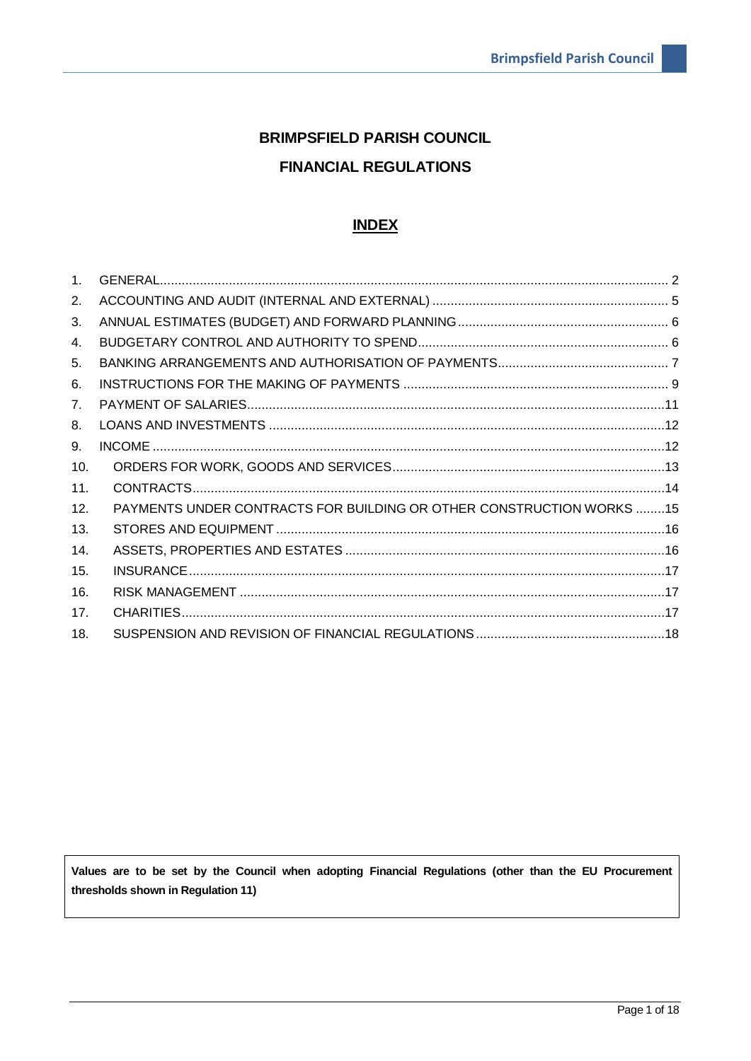# **BRIMPSFIELD PARISH COUNCIL FINANCIAL REGULATIONS**

# **INDEX**

| 1 <sub>1</sub> |                                                                     |  |
|----------------|---------------------------------------------------------------------|--|
| 2.             |                                                                     |  |
| 3.             |                                                                     |  |
| 4.             |                                                                     |  |
| 5.             |                                                                     |  |
| 6.             |                                                                     |  |
| 7 <sub>1</sub> |                                                                     |  |
| 8.             |                                                                     |  |
| 9.             |                                                                     |  |
| 10.            |                                                                     |  |
| 11.            |                                                                     |  |
| 12.            | PAYMENTS UNDER CONTRACTS FOR BUILDING OR OTHER CONSTRUCTION WORKS15 |  |
| 13.            |                                                                     |  |
| 14.            |                                                                     |  |
| 15.            |                                                                     |  |
| 16.            |                                                                     |  |
| 17.            |                                                                     |  |
| 18.            |                                                                     |  |

Values are to be set by the Council when adopting Financial Regulations (other than the EU Procurement thresholds shown in Regulation 11)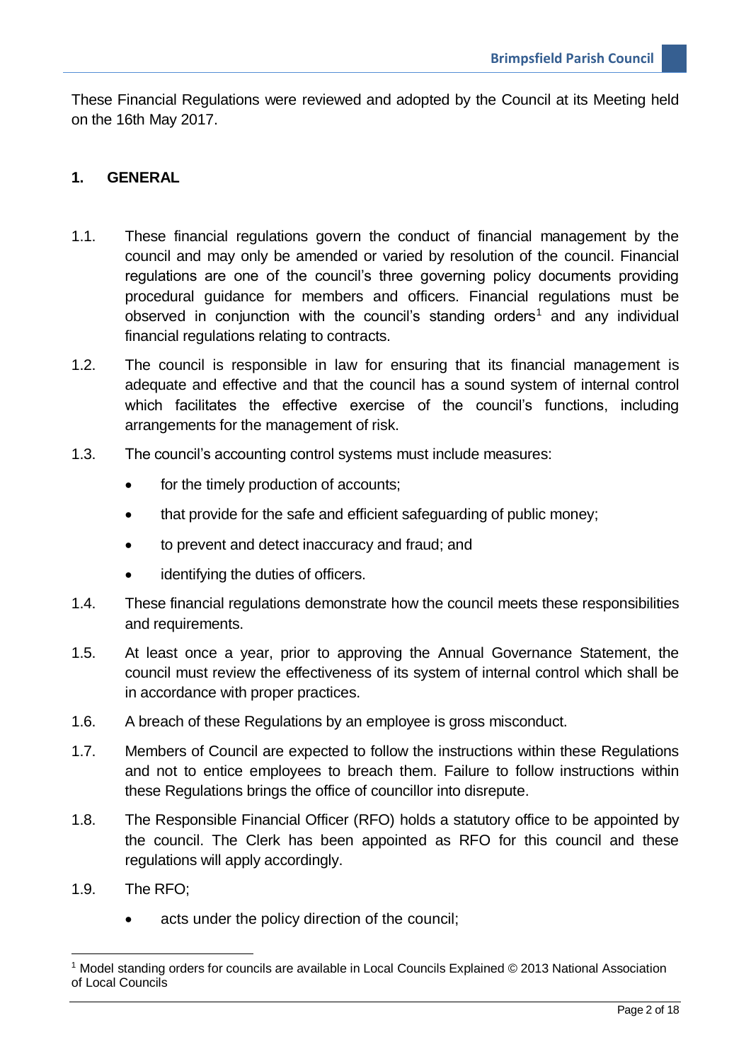These Financial Regulations were reviewed and adopted by the Council at its Meeting held on the 16th May 2017.

#### <span id="page-1-0"></span>**1. GENERAL**

- 1.1. These financial regulations govern the conduct of financial management by the council and may only be amended or varied by resolution of the council. Financial regulations are one of the council's three governing policy documents providing procedural guidance for members and officers. Financial regulations must be observed in conjunction with the council's standing orders<sup>1</sup> and any individual financial regulations relating to contracts.
- 1.2. The council is responsible in law for ensuring that its financial management is adequate and effective and that the council has a sound system of internal control which facilitates the effective exercise of the council's functions, including arrangements for the management of risk.
- 1.3. The council's accounting control systems must include measures:
	- for the timely production of accounts;
	- that provide for the safe and efficient safeguarding of public money;
	- to prevent and detect inaccuracy and fraud; and
	- identifying the duties of officers.
- 1.4. These financial regulations demonstrate how the council meets these responsibilities and requirements.
- 1.5. At least once a year, prior to approving the Annual Governance Statement, the council must review the effectiveness of its system of internal control which shall be in accordance with proper practices.
- 1.6. A breach of these Regulations by an employee is gross misconduct.
- 1.7. Members of Council are expected to follow the instructions within these Regulations and not to entice employees to breach them. Failure to follow instructions within these Regulations brings the office of councillor into disrepute.
- 1.8. The Responsible Financial Officer (RFO) holds a statutory office to be appointed by the council. The Clerk has been appointed as RFO for this council and these regulations will apply accordingly.
- 1.9. The RFO;

<u>.</u>

acts under the policy direction of the council:

<sup>1</sup> Model standing orders for councils are available in Local Councils Explained © 2013 National Association of Local Councils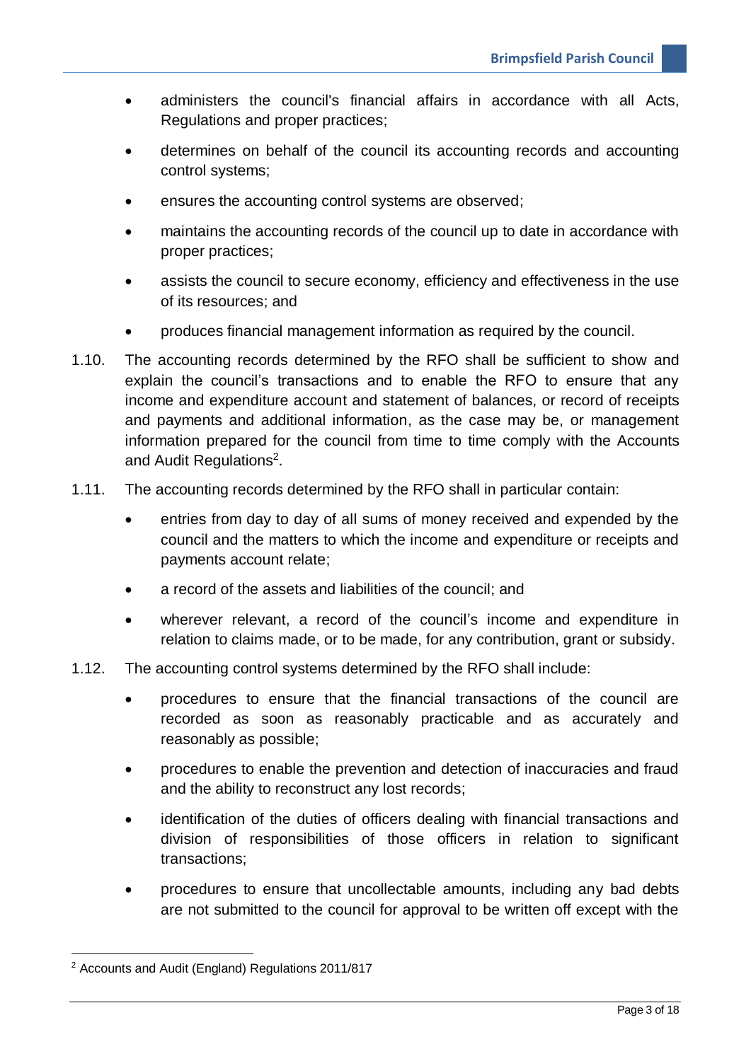- administers the council's financial affairs in accordance with all Acts, Regulations and proper practices;
- determines on behalf of the council its accounting records and accounting control systems;
- ensures the accounting control systems are observed;
- maintains the accounting records of the council up to date in accordance with proper practices;
- assists the council to secure economy, efficiency and effectiveness in the use of its resources; and
- produces financial management information as required by the council.
- 1.10. The accounting records determined by the RFO shall be sufficient to show and explain the council's transactions and to enable the RFO to ensure that any income and expenditure account and statement of balances, or record of receipts and payments and additional information, as the case may be, or management information prepared for the council from time to time comply with the Accounts and Audit Regulations<sup>2</sup>.
- 1.11. The accounting records determined by the RFO shall in particular contain:
	- entries from day to day of all sums of money received and expended by the council and the matters to which the income and expenditure or receipts and payments account relate;
	- a record of the assets and liabilities of the council; and
	- wherever relevant, a record of the council's income and expenditure in relation to claims made, or to be made, for any contribution, grant or subsidy.
- 1.12. The accounting control systems determined by the RFO shall include:
	- procedures to ensure that the financial transactions of the council are recorded as soon as reasonably practicable and as accurately and reasonably as possible;
	- procedures to enable the prevention and detection of inaccuracies and fraud and the ability to reconstruct any lost records;
	- identification of the duties of officers dealing with financial transactions and division of responsibilities of those officers in relation to significant transactions;
	- procedures to ensure that uncollectable amounts, including any bad debts are not submitted to the council for approval to be written off except with the

<u>.</u>

<sup>2</sup> Accounts and Audit (England) Regulations 2011/817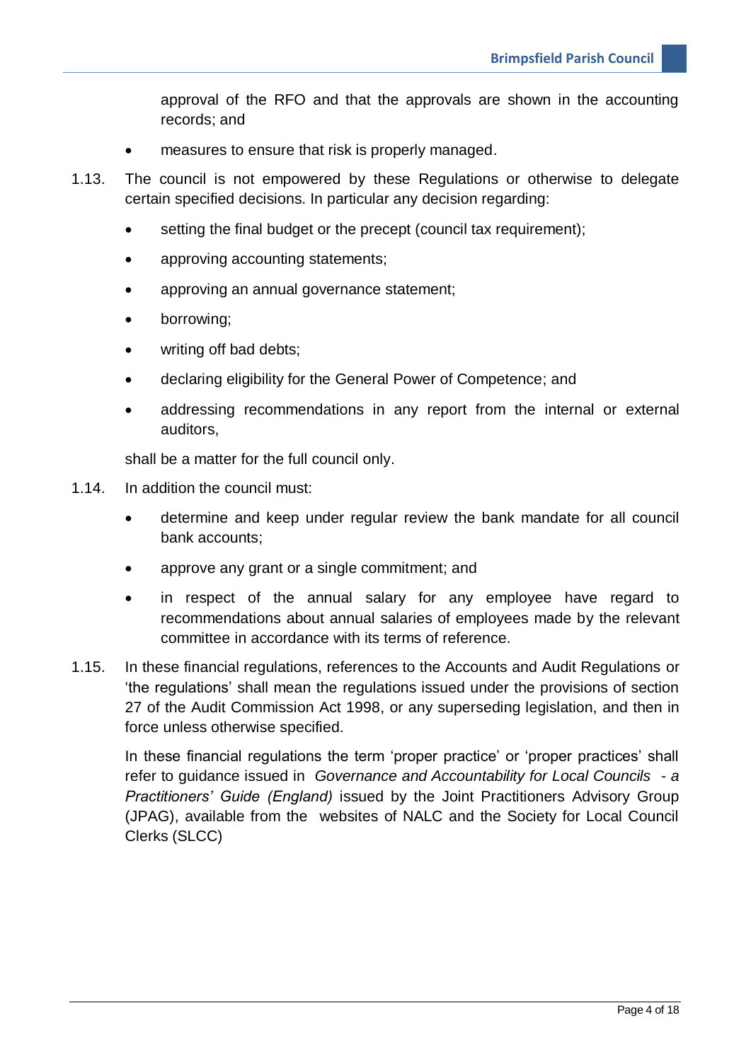approval of the RFO and that the approvals are shown in the accounting records; and

- measures to ensure that risk is properly managed.
- 1.13. The council is not empowered by these Regulations or otherwise to delegate certain specified decisions. In particular any decision regarding:
	- setting the final budget or the precept (council tax requirement);
	- approving accounting statements;
	- approving an annual governance statement;
	- borrowing;
	- writing off bad debts;
	- declaring eligibility for the General Power of Competence; and
	- addressing recommendations in any report from the internal or external auditors,

shall be a matter for the full council only.

- 1.14. In addition the council must:
	- determine and keep under regular review the bank mandate for all council bank accounts;
	- approve any grant or a single commitment; and
	- in respect of the annual salary for any employee have regard to recommendations about annual salaries of employees made by the relevant committee in accordance with its terms of reference.
- 1.15. In these financial regulations, references to the Accounts and Audit Regulations or 'the regulations' shall mean the regulations issued under the provisions of section 27 of the Audit Commission Act 1998, or any superseding legislation, and then in force unless otherwise specified.

In these financial regulations the term 'proper practice' or 'proper practices' shall refer to guidance issued in *Governance and Accountability for Local Councils - a Practitioners' Guide (England)* issued by the Joint Practitioners Advisory Group (JPAG), available from the websites of NALC and the Society for Local Council Clerks (SLCC)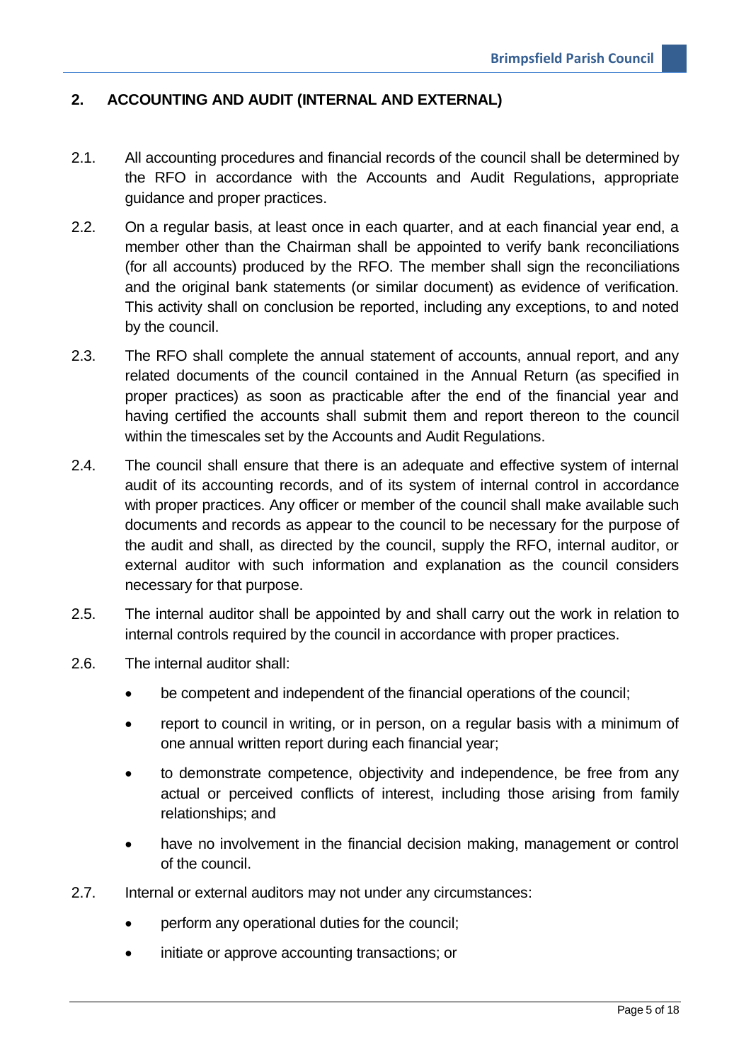# <span id="page-4-0"></span>**2. ACCOUNTING AND AUDIT (INTERNAL AND EXTERNAL)**

- 2.1. All accounting procedures and financial records of the council shall be determined by the RFO in accordance with the Accounts and Audit Regulations, appropriate guidance and proper practices.
- 2.2. On a regular basis, at least once in each quarter, and at each financial year end, a member other than the Chairman shall be appointed to verify bank reconciliations (for all accounts) produced by the RFO. The member shall sign the reconciliations and the original bank statements (or similar document) as evidence of verification. This activity shall on conclusion be reported, including any exceptions, to and noted by the council.
- 2.3. The RFO shall complete the annual statement of accounts, annual report, and any related documents of the council contained in the Annual Return (as specified in proper practices) as soon as practicable after the end of the financial year and having certified the accounts shall submit them and report thereon to the council within the timescales set by the Accounts and Audit Regulations.
- 2.4. The council shall ensure that there is an adequate and effective system of internal audit of its accounting records, and of its system of internal control in accordance with proper practices. Any officer or member of the council shall make available such documents and records as appear to the council to be necessary for the purpose of the audit and shall, as directed by the council, supply the RFO, internal auditor, or external auditor with such information and explanation as the council considers necessary for that purpose.
- 2.5. The internal auditor shall be appointed by and shall carry out the work in relation to internal controls required by the council in accordance with proper practices.
- 2.6. The internal auditor shall:
	- be competent and independent of the financial operations of the council;
	- report to council in writing, or in person, on a regular basis with a minimum of one annual written report during each financial year;
	- to demonstrate competence, objectivity and independence, be free from any actual or perceived conflicts of interest, including those arising from family relationships; and
	- have no involvement in the financial decision making, management or control of the council.
- 2.7. Internal or external auditors may not under any circumstances:
	- perform any operational duties for the council;
	- initiate or approve accounting transactions; or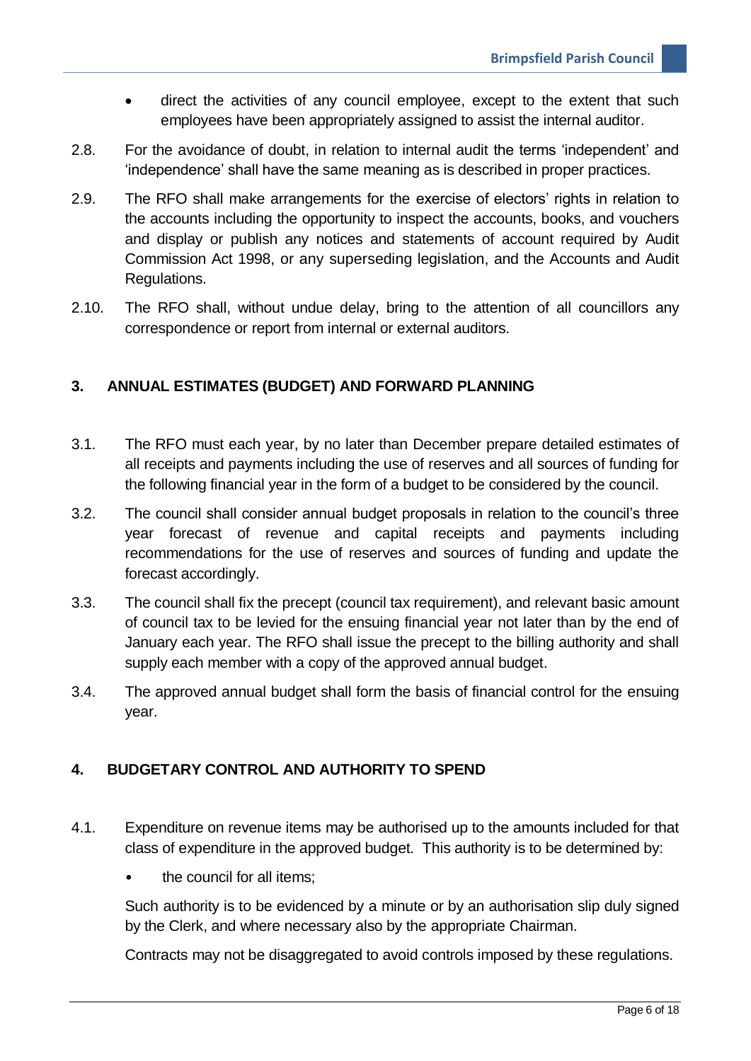- direct the activities of any council employee, except to the extent that such employees have been appropriately assigned to assist the internal auditor.
- 2.8. For the avoidance of doubt, in relation to internal audit the terms 'independent' and 'independence' shall have the same meaning as is described in proper practices.
- 2.9. The RFO shall make arrangements for the exercise of electors' rights in relation to the accounts including the opportunity to inspect the accounts, books, and vouchers and display or publish any notices and statements of account required by Audit Commission Act 1998, or any superseding legislation, and the Accounts and Audit Regulations.
- 2.10. The RFO shall, without undue delay, bring to the attention of all councillors any correspondence or report from internal or external auditors.

### <span id="page-5-0"></span>**3. ANNUAL ESTIMATES (BUDGET) AND FORWARD PLANNING**

- 3.1. The RFO must each year, by no later than December prepare detailed estimates of all receipts and payments including the use of reserves and all sources of funding for the following financial year in the form of a budget to be considered by the council.
- 3.2. The council shall consider annual budget proposals in relation to the council's three year forecast of revenue and capital receipts and payments including recommendations for the use of reserves and sources of funding and update the forecast accordingly.
- 3.3. The council shall fix the precept (council tax requirement), and relevant basic amount of council tax to be levied for the ensuing financial year not later than by the end of January each year. The RFO shall issue the precept to the billing authority and shall supply each member with a copy of the approved annual budget.
- 3.4. The approved annual budget shall form the basis of financial control for the ensuing year.

# <span id="page-5-1"></span>**4. BUDGETARY CONTROL AND AUTHORITY TO SPEND**

- 4.1. Expenditure on revenue items may be authorised up to the amounts included for that class of expenditure in the approved budget. This authority is to be determined by:
	- the council for all items:

Such authority is to be evidenced by a minute or by an authorisation slip duly signed by the Clerk, and where necessary also by the appropriate Chairman.

Contracts may not be disaggregated to avoid controls imposed by these regulations.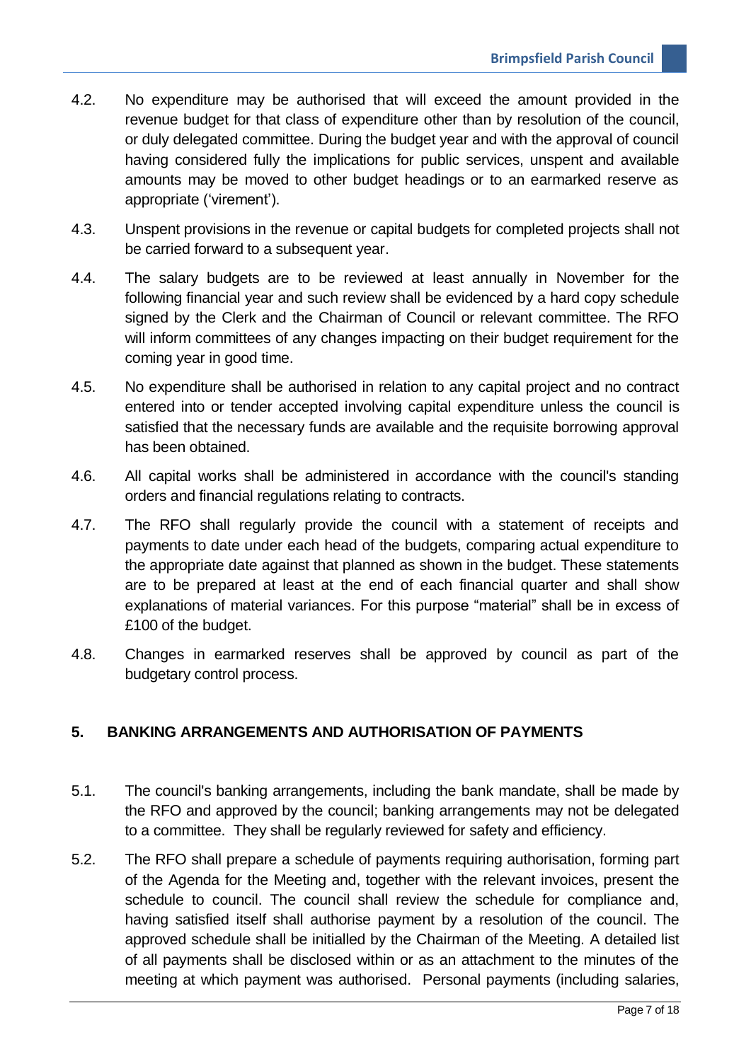- 4.2. No expenditure may be authorised that will exceed the amount provided in the revenue budget for that class of expenditure other than by resolution of the council, or duly delegated committee. During the budget year and with the approval of council having considered fully the implications for public services, unspent and available amounts may be moved to other budget headings or to an earmarked reserve as appropriate ('virement').
- 4.3. Unspent provisions in the revenue or capital budgets for completed projects shall not be carried forward to a subsequent year.
- 4.4. The salary budgets are to be reviewed at least annually in November for the following financial year and such review shall be evidenced by a hard copy schedule signed by the Clerk and the Chairman of Council or relevant committee. The RFO will inform committees of any changes impacting on their budget requirement for the coming year in good time.
- 4.5. No expenditure shall be authorised in relation to any capital project and no contract entered into or tender accepted involving capital expenditure unless the council is satisfied that the necessary funds are available and the requisite borrowing approval has been obtained.
- 4.6. All capital works shall be administered in accordance with the council's standing orders and financial regulations relating to contracts.
- 4.7. The RFO shall regularly provide the council with a statement of receipts and payments to date under each head of the budgets, comparing actual expenditure to the appropriate date against that planned as shown in the budget. These statements are to be prepared at least at the end of each financial quarter and shall show explanations of material variances. For this purpose "material" shall be in excess of £100 of the budget.
- 4.8. Changes in earmarked reserves shall be approved by council as part of the budgetary control process.

#### <span id="page-6-0"></span>**5. BANKING ARRANGEMENTS AND AUTHORISATION OF PAYMENTS**

- 5.1. The council's banking arrangements, including the bank mandate, shall be made by the RFO and approved by the council; banking arrangements may not be delegated to a committee. They shall be regularly reviewed for safety and efficiency.
- 5.2. The RFO shall prepare a schedule of payments requiring authorisation, forming part of the Agenda for the Meeting and, together with the relevant invoices, present the schedule to council. The council shall review the schedule for compliance and, having satisfied itself shall authorise payment by a resolution of the council. The approved schedule shall be initialled by the Chairman of the Meeting. A detailed list of all payments shall be disclosed within or as an attachment to the minutes of the meeting at which payment was authorised. Personal payments (including salaries,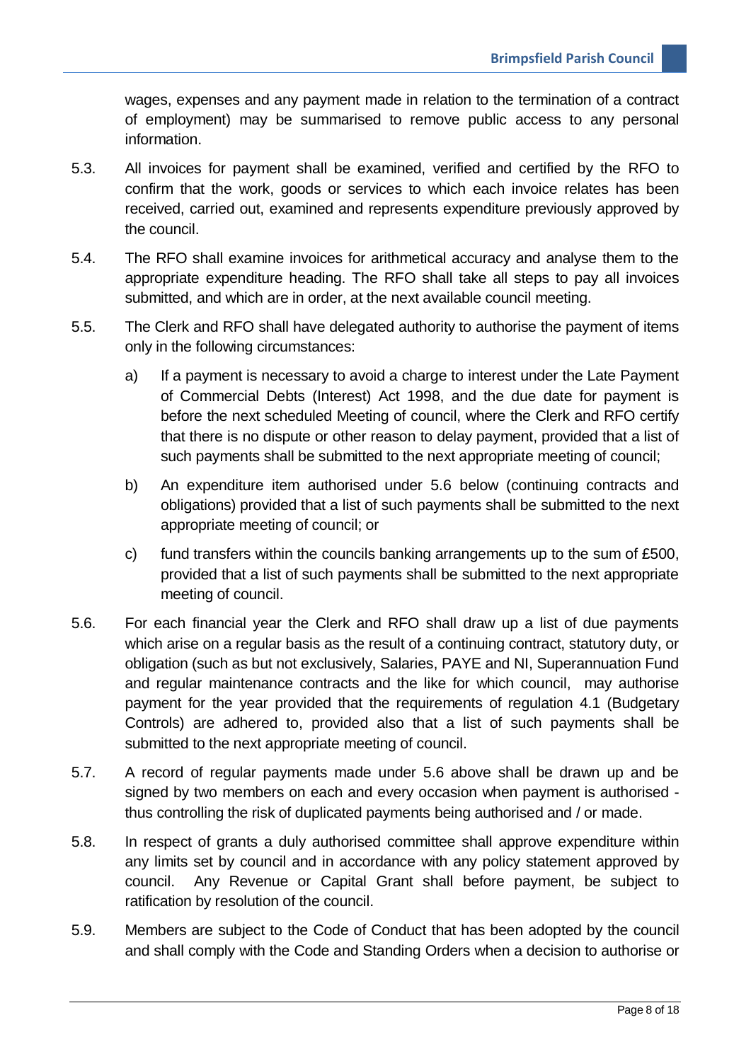wages, expenses and any payment made in relation to the termination of a contract of employment) may be summarised to remove public access to any personal information.

- 5.3. All invoices for payment shall be examined, verified and certified by the RFO to confirm that the work, goods or services to which each invoice relates has been received, carried out, examined and represents expenditure previously approved by the council.
- 5.4. The RFO shall examine invoices for arithmetical accuracy and analyse them to the appropriate expenditure heading. The RFO shall take all steps to pay all invoices submitted, and which are in order, at the next available council meeting.
- 5.5. The Clerk and RFO shall have delegated authority to authorise the payment of items only in the following circumstances:
	- a) If a payment is necessary to avoid a charge to interest under the Late Payment of Commercial Debts (Interest) Act 1998, and the due date for payment is before the next scheduled Meeting of council, where the Clerk and RFO certify that there is no dispute or other reason to delay payment, provided that a list of such payments shall be submitted to the next appropriate meeting of council;
	- b) An expenditure item authorised under 5.6 below (continuing contracts and obligations) provided that a list of such payments shall be submitted to the next appropriate meeting of council; or
	- c) fund transfers within the councils banking arrangements up to the sum of £500, provided that a list of such payments shall be submitted to the next appropriate meeting of council.
- 5.6. For each financial year the Clerk and RFO shall draw up a list of due payments which arise on a regular basis as the result of a continuing contract, statutory duty, or obligation (such as but not exclusively, Salaries, PAYE and NI, Superannuation Fund and regular maintenance contracts and the like for which council, may authorise payment for the year provided that the requirements of regulation 4.1 (Budgetary Controls) are adhered to, provided also that a list of such payments shall be submitted to the next appropriate meeting of council.
- 5.7. A record of regular payments made under 5.6 above shall be drawn up and be signed by two members on each and every occasion when payment is authorised thus controlling the risk of duplicated payments being authorised and / or made.
- 5.8. In respect of grants a duly authorised committee shall approve expenditure within any limits set by council and in accordance with any policy statement approved by council. Any Revenue or Capital Grant shall before payment, be subject to ratification by resolution of the council.
- 5.9. Members are subject to the Code of Conduct that has been adopted by the council and shall comply with the Code and Standing Orders when a decision to authorise or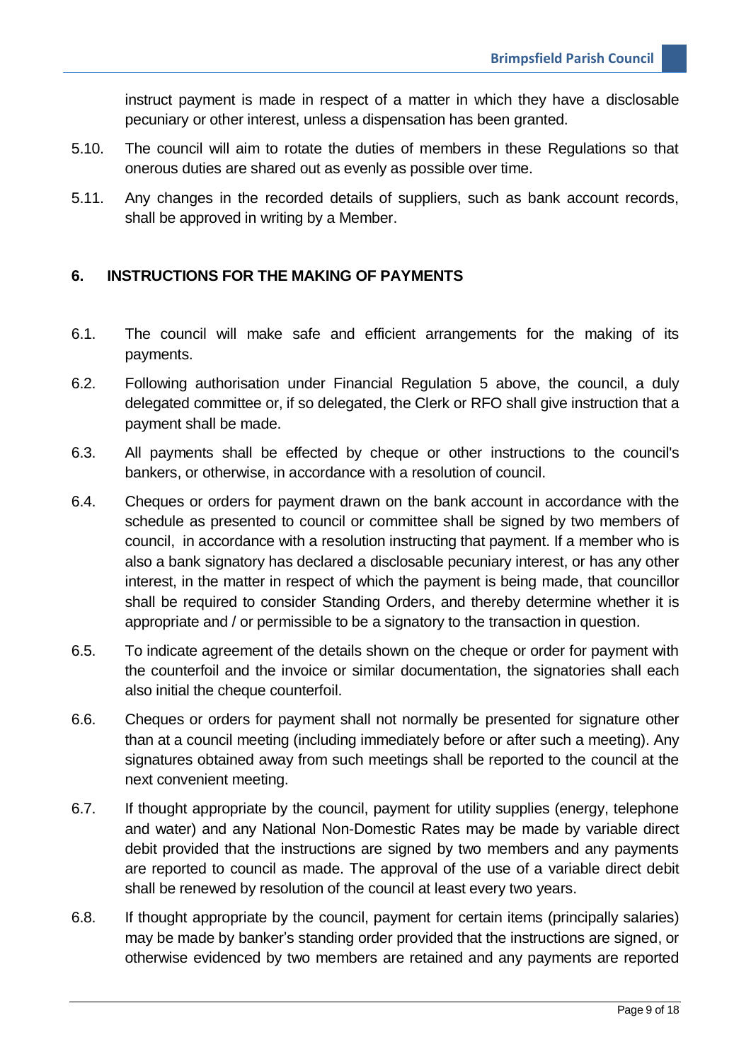instruct payment is made in respect of a matter in which they have a disclosable pecuniary or other interest, unless a dispensation has been granted.

- 5.10. The council will aim to rotate the duties of members in these Regulations so that onerous duties are shared out as evenly as possible over time.
- 5.11. Any changes in the recorded details of suppliers, such as bank account records, shall be approved in writing by a Member.

# <span id="page-8-0"></span>**6. INSTRUCTIONS FOR THE MAKING OF PAYMENTS**

- 6.1. The council will make safe and efficient arrangements for the making of its payments.
- 6.2. Following authorisation under Financial Regulation 5 above, the council, a duly delegated committee or, if so delegated, the Clerk or RFO shall give instruction that a payment shall be made.
- 6.3. All payments shall be effected by cheque or other instructions to the council's bankers, or otherwise, in accordance with a resolution of council.
- 6.4. Cheques or orders for payment drawn on the bank account in accordance with the schedule as presented to council or committee shall be signed by two members of council, in accordance with a resolution instructing that payment. If a member who is also a bank signatory has declared a disclosable pecuniary interest, or has any other interest, in the matter in respect of which the payment is being made, that councillor shall be required to consider Standing Orders, and thereby determine whether it is appropriate and / or permissible to be a signatory to the transaction in question.
- 6.5. To indicate agreement of the details shown on the cheque or order for payment with the counterfoil and the invoice or similar documentation, the signatories shall each also initial the cheque counterfoil.
- 6.6. Cheques or orders for payment shall not normally be presented for signature other than at a council meeting (including immediately before or after such a meeting). Any signatures obtained away from such meetings shall be reported to the council at the next convenient meeting.
- 6.7. If thought appropriate by the council, payment for utility supplies (energy, telephone and water) and any National Non-Domestic Rates may be made by variable direct debit provided that the instructions are signed by two members and any payments are reported to council as made. The approval of the use of a variable direct debit shall be renewed by resolution of the council at least every two years.
- 6.8. If thought appropriate by the council, payment for certain items (principally salaries) may be made by banker's standing order provided that the instructions are signed, or otherwise evidenced by two members are retained and any payments are reported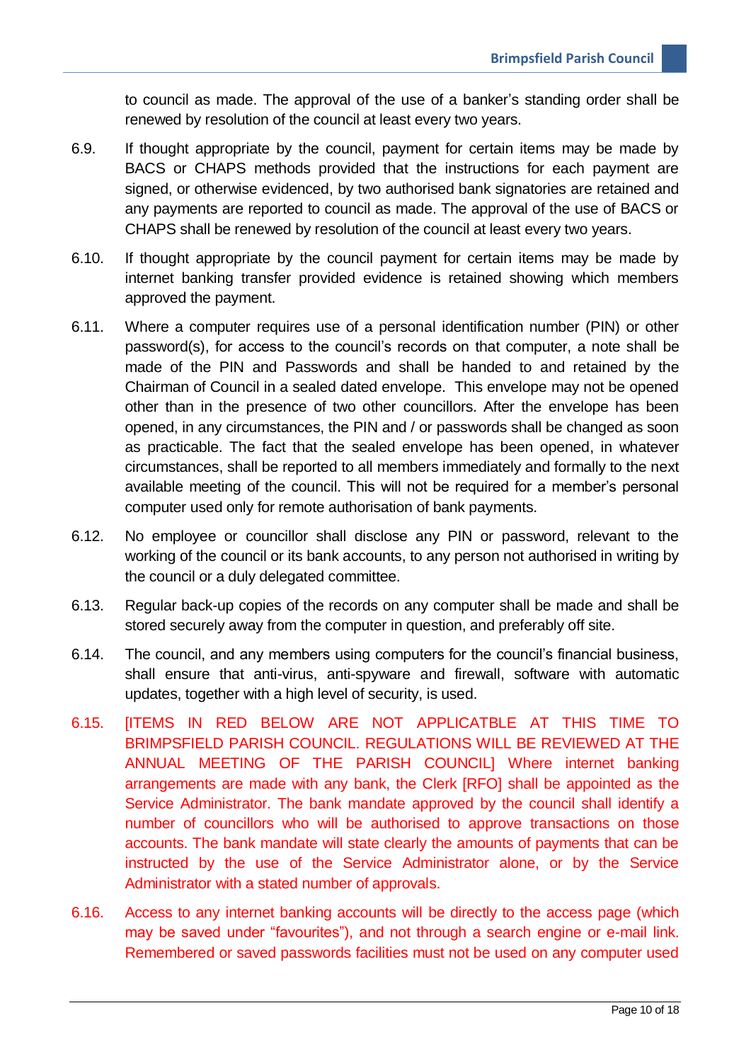to council as made. The approval of the use of a banker's standing order shall be renewed by resolution of the council at least every two years.

- 6.9. If thought appropriate by the council, payment for certain items may be made by BACS or CHAPS methods provided that the instructions for each payment are signed, or otherwise evidenced, by two authorised bank signatories are retained and any payments are reported to council as made. The approval of the use of BACS or CHAPS shall be renewed by resolution of the council at least every two years.
- 6.10. If thought appropriate by the council payment for certain items may be made by internet banking transfer provided evidence is retained showing which members approved the payment.
- 6.11. Where a computer requires use of a personal identification number (PIN) or other password(s), for access to the council's records on that computer, a note shall be made of the PIN and Passwords and shall be handed to and retained by the Chairman of Council in a sealed dated envelope. This envelope may not be opened other than in the presence of two other councillors. After the envelope has been opened, in any circumstances, the PIN and / or passwords shall be changed as soon as practicable. The fact that the sealed envelope has been opened, in whatever circumstances, shall be reported to all members immediately and formally to the next available meeting of the council. This will not be required for a member's personal computer used only for remote authorisation of bank payments.
- 6.12. No employee or councillor shall disclose any PIN or password, relevant to the working of the council or its bank accounts, to any person not authorised in writing by the council or a duly delegated committee.
- 6.13. Regular back-up copies of the records on any computer shall be made and shall be stored securely away from the computer in question, and preferably off site.
- 6.14. The council, and any members using computers for the council's financial business, shall ensure that anti-virus, anti-spyware and firewall, software with automatic updates, together with a high level of security, is used.
- 6.15. [ITEMS IN RED BELOW ARE NOT APPLICATBLE AT THIS TIME TO BRIMPSFIELD PARISH COUNCIL. REGULATIONS WILL BE REVIEWED AT THE ANNUAL MEETING OF THE PARISH COUNCIL] Where internet banking arrangements are made with any bank, the Clerk [RFO] shall be appointed as the Service Administrator. The bank mandate approved by the council shall identify a number of councillors who will be authorised to approve transactions on those accounts. The bank mandate will state clearly the amounts of payments that can be instructed by the use of the Service Administrator alone, or by the Service Administrator with a stated number of approvals.
- 6.16. Access to any internet banking accounts will be directly to the access page (which may be saved under "favourites"), and not through a search engine or e-mail link. Remembered or saved passwords facilities must not be used on any computer used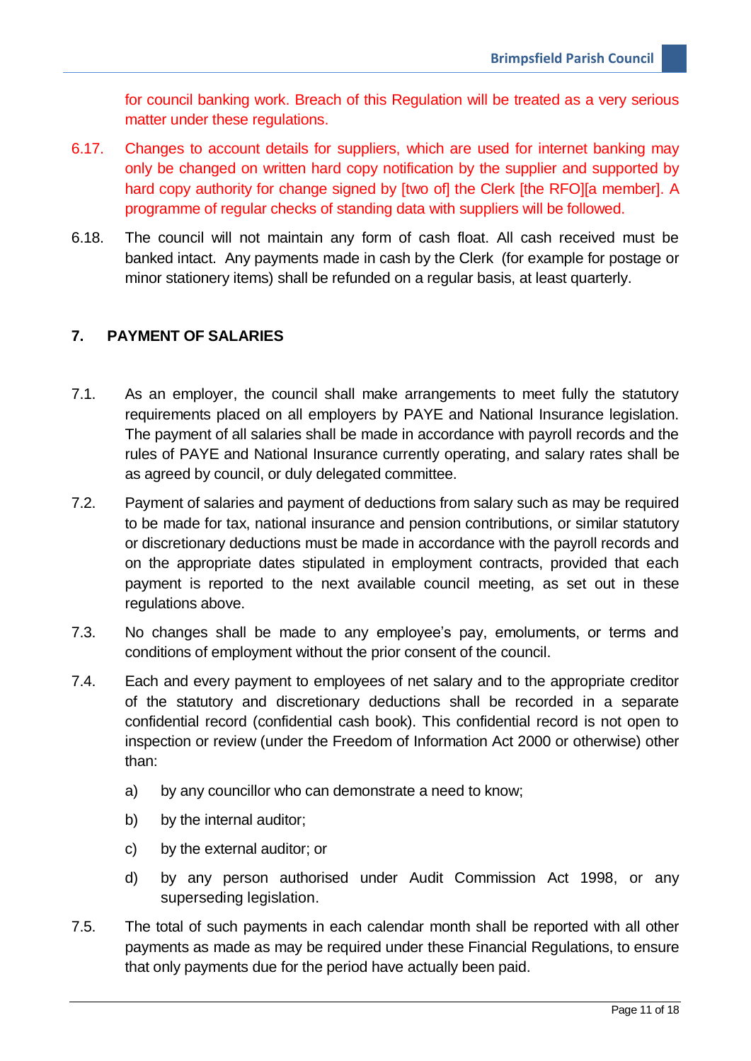for council banking work. Breach of this Regulation will be treated as a very serious matter under these regulations.

- 6.17. Changes to account details for suppliers, which are used for internet banking may only be changed on written hard copy notification by the supplier and supported by hard copy authority for change signed by [two of] the Clerk [the RFO][a member]. A programme of regular checks of standing data with suppliers will be followed.
- 6.18. The council will not maintain any form of cash float. All cash received must be banked intact. Any payments made in cash by the Clerk (for example for postage or minor stationery items) shall be refunded on a regular basis, at least quarterly.

# <span id="page-10-0"></span>**7. PAYMENT OF SALARIES**

- 7.1. As an employer, the council shall make arrangements to meet fully the statutory requirements placed on all employers by PAYE and National Insurance legislation. The payment of all salaries shall be made in accordance with payroll records and the rules of PAYE and National Insurance currently operating, and salary rates shall be as agreed by council, or duly delegated committee.
- 7.2. Payment of salaries and payment of deductions from salary such as may be required to be made for tax, national insurance and pension contributions, or similar statutory or discretionary deductions must be made in accordance with the payroll records and on the appropriate dates stipulated in employment contracts, provided that each payment is reported to the next available council meeting, as set out in these regulations above.
- 7.3. No changes shall be made to any employee's pay, emoluments, or terms and conditions of employment without the prior consent of the council.
- 7.4. Each and every payment to employees of net salary and to the appropriate creditor of the statutory and discretionary deductions shall be recorded in a separate confidential record (confidential cash book). This confidential record is not open to inspection or review (under the Freedom of Information Act 2000 or otherwise) other than:
	- a) by any councillor who can demonstrate a need to know;
	- b) by the internal auditor;
	- c) by the external auditor; or
	- d) by any person authorised under Audit Commission Act 1998, or any superseding legislation.
- 7.5. The total of such payments in each calendar month shall be reported with all other payments as made as may be required under these Financial Regulations, to ensure that only payments due for the period have actually been paid.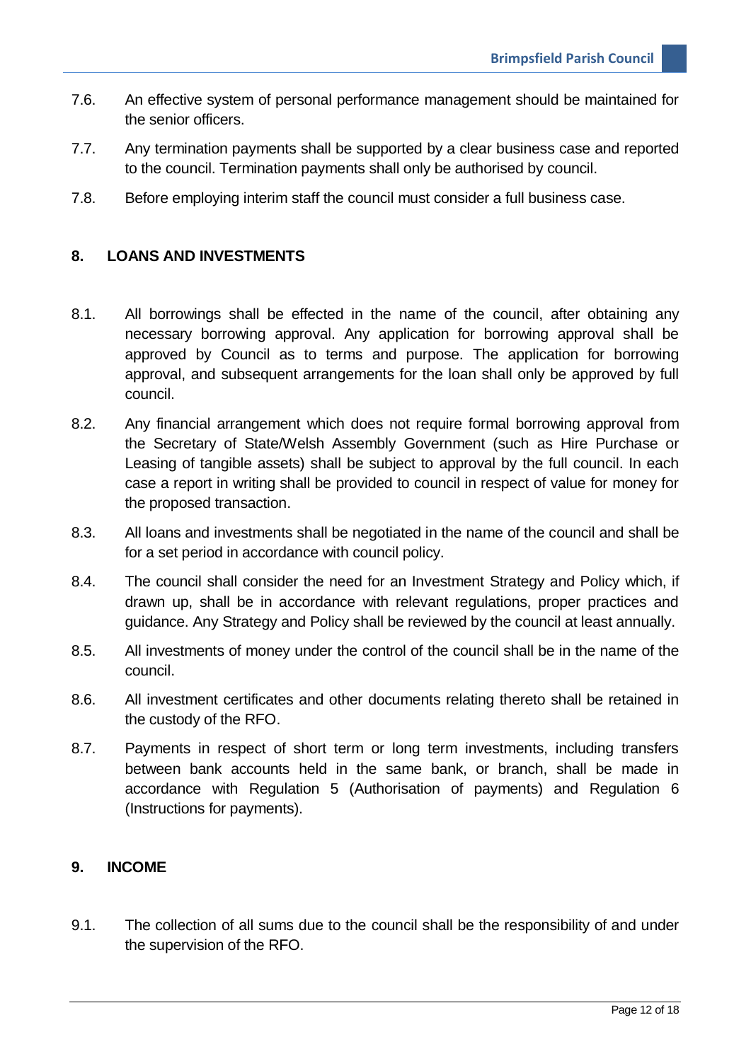- 7.6. An effective system of personal performance management should be maintained for the senior officers.
- 7.7. Any termination payments shall be supported by a clear business case and reported to the council. Termination payments shall only be authorised by council.
- 7.8. Before employing interim staff the council must consider a full business case.

#### <span id="page-11-0"></span>**8. LOANS AND INVESTMENTS**

- 8.1. All borrowings shall be effected in the name of the council, after obtaining any necessary borrowing approval. Any application for borrowing approval shall be approved by Council as to terms and purpose. The application for borrowing approval, and subsequent arrangements for the loan shall only be approved by full council.
- 8.2. Any financial arrangement which does not require formal borrowing approval from the Secretary of State/Welsh Assembly Government (such as Hire Purchase or Leasing of tangible assets) shall be subject to approval by the full council. In each case a report in writing shall be provided to council in respect of value for money for the proposed transaction.
- 8.3. All loans and investments shall be negotiated in the name of the council and shall be for a set period in accordance with council policy.
- 8.4. The council shall consider the need for an Investment Strategy and Policy which, if drawn up, shall be in accordance with relevant regulations, proper practices and guidance. Any Strategy and Policy shall be reviewed by the council at least annually.
- 8.5. All investments of money under the control of the council shall be in the name of the council.
- 8.6. All investment certificates and other documents relating thereto shall be retained in the custody of the RFO.
- 8.7. Payments in respect of short term or long term investments, including transfers between bank accounts held in the same bank, or branch, shall be made in accordance with Regulation 5 (Authorisation of payments) and Regulation 6 (Instructions for payments).

#### <span id="page-11-1"></span>**9. INCOME**

9.1. The collection of all sums due to the council shall be the responsibility of and under the supervision of the RFO.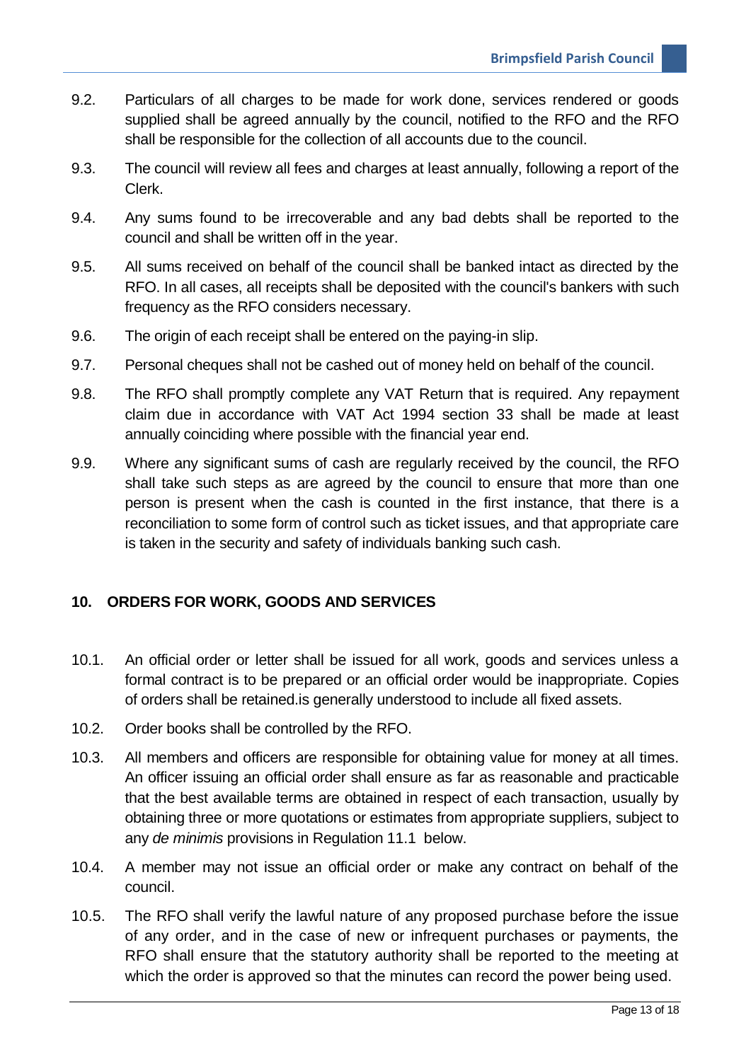- 9.2. Particulars of all charges to be made for work done, services rendered or goods supplied shall be agreed annually by the council, notified to the RFO and the RFO shall be responsible for the collection of all accounts due to the council.
- 9.3. The council will review all fees and charges at least annually, following a report of the Clerk.
- 9.4. Any sums found to be irrecoverable and any bad debts shall be reported to the council and shall be written off in the year.
- 9.5. All sums received on behalf of the council shall be banked intact as directed by the RFO. In all cases, all receipts shall be deposited with the council's bankers with such frequency as the RFO considers necessary.
- 9.6. The origin of each receipt shall be entered on the paying-in slip.
- 9.7. Personal cheques shall not be cashed out of money held on behalf of the council.
- 9.8. The RFO shall promptly complete any VAT Return that is required. Any repayment claim due in accordance with VAT Act 1994 section 33 shall be made at least annually coinciding where possible with the financial year end.
- 9.9. Where any significant sums of cash are regularly received by the council, the RFO shall take such steps as are agreed by the council to ensure that more than one person is present when the cash is counted in the first instance, that there is a reconciliation to some form of control such as ticket issues, and that appropriate care is taken in the security and safety of individuals banking such cash.

#### <span id="page-12-0"></span>**10. ORDERS FOR WORK, GOODS AND SERVICES**

- 10.1. An official order or letter shall be issued for all work, goods and services unless a formal contract is to be prepared or an official order would be inappropriate. Copies of orders shall be retained.is generally understood to include all fixed assets.
- 10.2. Order books shall be controlled by the RFO.
- 10.3. All members and officers are responsible for obtaining value for money at all times. An officer issuing an official order shall ensure as far as reasonable and practicable that the best available terms are obtained in respect of each transaction, usually by obtaining three or more quotations or estimates from appropriate suppliers, subject to any *de minimis* provisions in Regulation 11.1 below.
- 10.4. A member may not issue an official order or make any contract on behalf of the council.
- 10.5. The RFO shall verify the lawful nature of any proposed purchase before the issue of any order, and in the case of new or infrequent purchases or payments, the RFO shall ensure that the statutory authority shall be reported to the meeting at which the order is approved so that the minutes can record the power being used.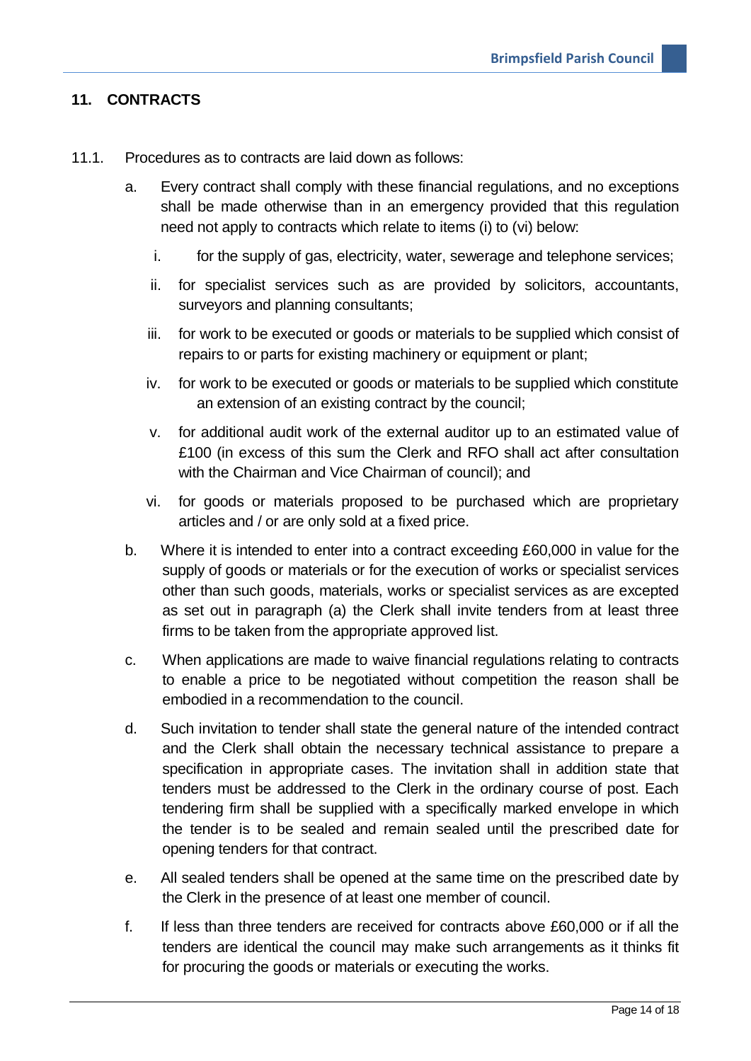# <span id="page-13-0"></span>**11. CONTRACTS**

- 11.1. Procedures as to contracts are laid down as follows:
	- a. Every contract shall comply with these financial regulations, and no exceptions shall be made otherwise than in an emergency provided that this regulation need not apply to contracts which relate to items (i) to (vi) below:
		- i. for the supply of gas, electricity, water, sewerage and telephone services;
		- ii. for specialist services such as are provided by solicitors, accountants, surveyors and planning consultants;
		- iii. for work to be executed or goods or materials to be supplied which consist of repairs to or parts for existing machinery or equipment or plant;
		- iv. for work to be executed or goods or materials to be supplied which constitute an extension of an existing contract by the council;
		- v. for additional audit work of the external auditor up to an estimated value of £100 (in excess of this sum the Clerk and RFO shall act after consultation with the Chairman and Vice Chairman of council); and
		- vi. for goods or materials proposed to be purchased which are proprietary articles and / or are only sold at a fixed price.
	- b. Where it is intended to enter into a contract exceeding £60,000 in value for the supply of goods or materials or for the execution of works or specialist services other than such goods, materials, works or specialist services as are excepted as set out in paragraph (a) the Clerk shall invite tenders from at least three firms to be taken from the appropriate approved list.
	- c. When applications are made to waive financial regulations relating to contracts to enable a price to be negotiated without competition the reason shall be embodied in a recommendation to the council.
	- d. Such invitation to tender shall state the general nature of the intended contract and the Clerk shall obtain the necessary technical assistance to prepare a specification in appropriate cases. The invitation shall in addition state that tenders must be addressed to the Clerk in the ordinary course of post. Each tendering firm shall be supplied with a specifically marked envelope in which the tender is to be sealed and remain sealed until the prescribed date for opening tenders for that contract.
	- e. All sealed tenders shall be opened at the same time on the prescribed date by the Clerk in the presence of at least one member of council.
	- f. If less than three tenders are received for contracts above £60,000 or if all the tenders are identical the council may make such arrangements as it thinks fit for procuring the goods or materials or executing the works.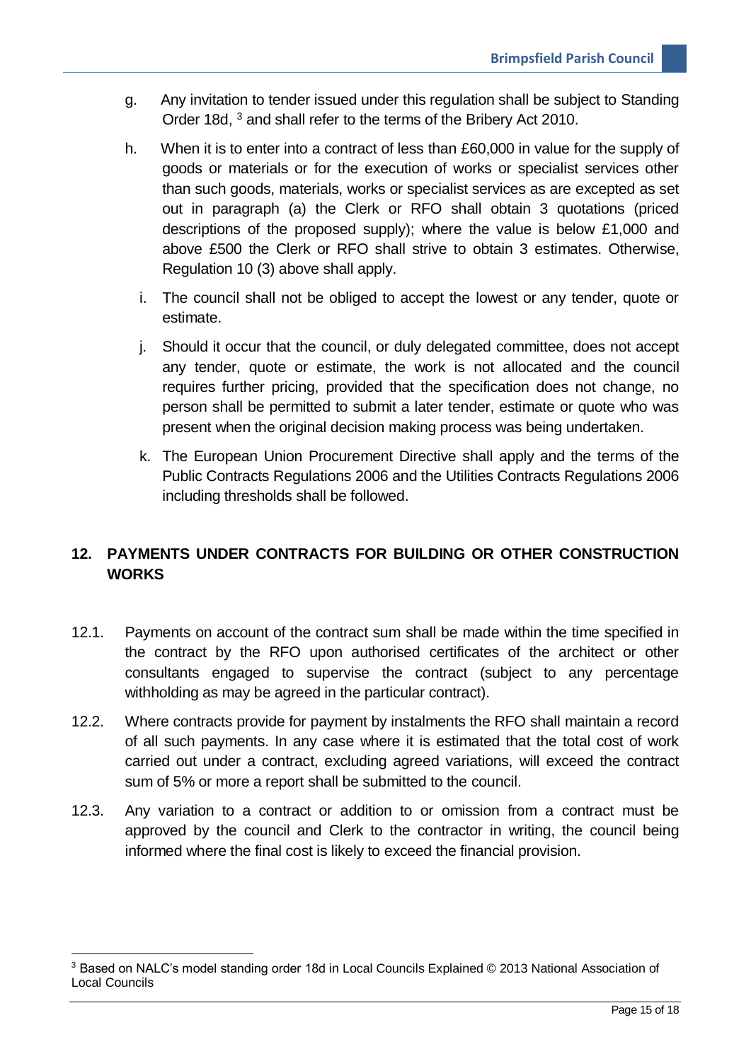- g. Any invitation to tender issued under this regulation shall be subject to Standing Order 18d, <sup>3</sup> and shall refer to the terms of the Bribery Act 2010.
- h. When it is to enter into a contract of less than £60,000 in value for the supply of goods or materials or for the execution of works or specialist services other than such goods, materials, works or specialist services as are excepted as set out in paragraph (a) the Clerk or RFO shall obtain 3 quotations (priced descriptions of the proposed supply); where the value is below £1,000 and above £500 the Clerk or RFO shall strive to obtain 3 estimates. Otherwise, Regulation 10 (3) above shall apply.
	- i. The council shall not be obliged to accept the lowest or any tender, quote or estimate.
	- j. Should it occur that the council, or duly delegated committee, does not accept any tender, quote or estimate, the work is not allocated and the council requires further pricing, provided that the specification does not change, no person shall be permitted to submit a later tender, estimate or quote who was present when the original decision making process was being undertaken.
	- k. The European Union Procurement Directive shall apply and the terms of the Public Contracts Regulations 2006 and the Utilities Contracts Regulations 2006 including thresholds shall be followed.

# <span id="page-14-0"></span>**12. PAYMENTS UNDER CONTRACTS FOR BUILDING OR OTHER CONSTRUCTION WORKS**

- 12.1. Payments on account of the contract sum shall be made within the time specified in the contract by the RFO upon authorised certificates of the architect or other consultants engaged to supervise the contract (subject to any percentage withholding as may be agreed in the particular contract).
- 12.2. Where contracts provide for payment by instalments the RFO shall maintain a record of all such payments. In any case where it is estimated that the total cost of work carried out under a contract, excluding agreed variations, will exceed the contract sum of 5% or more a report shall be submitted to the council.
- 12.3. Any variation to a contract or addition to or omission from a contract must be approved by the council and Clerk to the contractor in writing, the council being informed where the final cost is likely to exceed the financial provision.

<u>.</u>

<sup>3</sup> Based on NALC's model standing order 18d in Local Councils Explained © 2013 National Association of Local Councils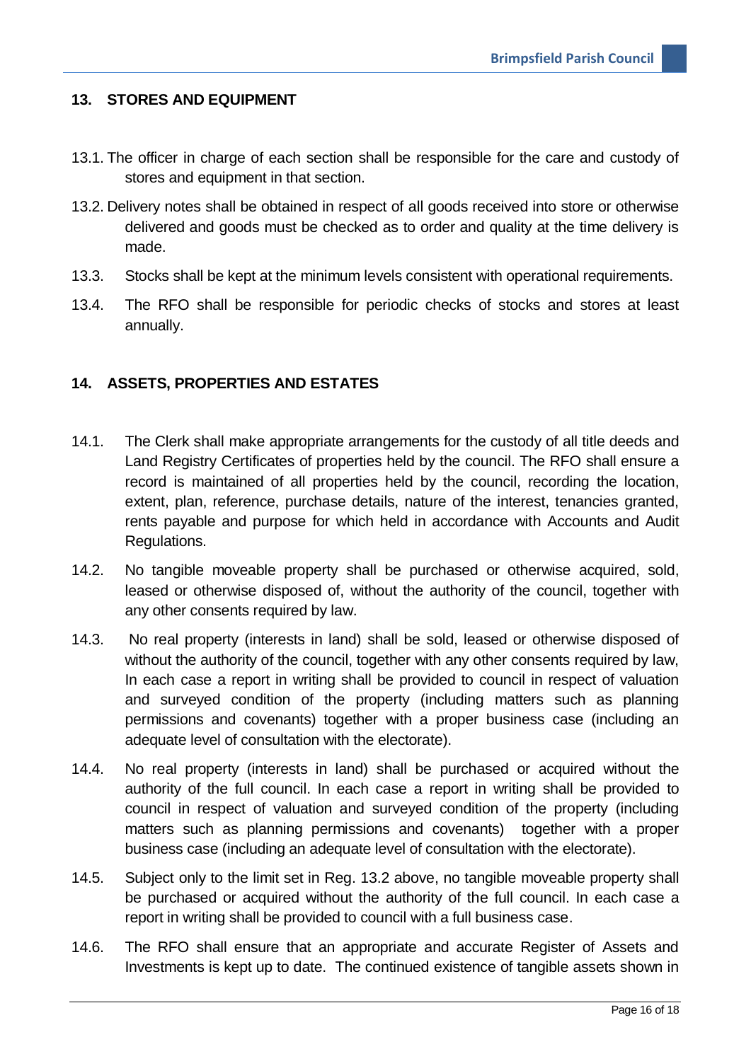#### <span id="page-15-0"></span>**13. STORES AND EQUIPMENT**

- 13.1. The officer in charge of each section shall be responsible for the care and custody of stores and equipment in that section.
- 13.2. Delivery notes shall be obtained in respect of all goods received into store or otherwise delivered and goods must be checked as to order and quality at the time delivery is made.
- 13.3. Stocks shall be kept at the minimum levels consistent with operational requirements.
- 13.4. The RFO shall be responsible for periodic checks of stocks and stores at least annually.

#### <span id="page-15-1"></span>**14. ASSETS, PROPERTIES AND ESTATES**

- 14.1. The Clerk shall make appropriate arrangements for the custody of all title deeds and Land Registry Certificates of properties held by the council. The RFO shall ensure a record is maintained of all properties held by the council, recording the location, extent, plan, reference, purchase details, nature of the interest, tenancies granted, rents payable and purpose for which held in accordance with Accounts and Audit Regulations.
- 14.2. No tangible moveable property shall be purchased or otherwise acquired, sold, leased or otherwise disposed of, without the authority of the council, together with any other consents required by law.
- 14.3. No real property (interests in land) shall be sold, leased or otherwise disposed of without the authority of the council, together with any other consents required by law, In each case a report in writing shall be provided to council in respect of valuation and surveyed condition of the property (including matters such as planning permissions and covenants) together with a proper business case (including an adequate level of consultation with the electorate).
- 14.4. No real property (interests in land) shall be purchased or acquired without the authority of the full council. In each case a report in writing shall be provided to council in respect of valuation and surveyed condition of the property (including matters such as planning permissions and covenants) together with a proper business case (including an adequate level of consultation with the electorate).
- 14.5. Subject only to the limit set in Reg. 13.2 above, no tangible moveable property shall be purchased or acquired without the authority of the full council. In each case a report in writing shall be provided to council with a full business case.
- 14.6. The RFO shall ensure that an appropriate and accurate Register of Assets and Investments is kept up to date. The continued existence of tangible assets shown in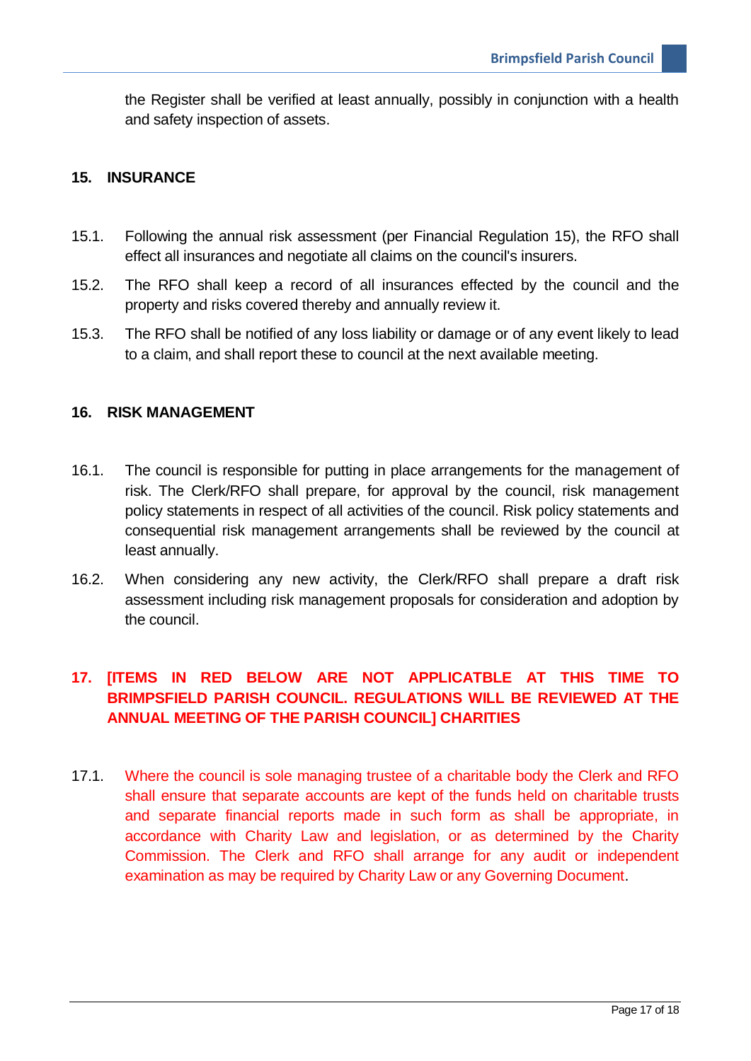the Register shall be verified at least annually, possibly in conjunction with a health and safety inspection of assets.

#### <span id="page-16-0"></span>**15. INSURANCE**

- 15.1. Following the annual risk assessment (per Financial Regulation 15), the RFO shall effect all insurances and negotiate all claims on the council's insurers.
- 15.2. The RFO shall keep a record of all insurances effected by the council and the property and risks covered thereby and annually review it.
- 15.3. The RFO shall be notified of any loss liability or damage or of any event likely to lead to a claim, and shall report these to council at the next available meeting.

#### <span id="page-16-1"></span>**16. RISK MANAGEMENT**

- 16.1. The council is responsible for putting in place arrangements for the management of risk. The Clerk/RFO shall prepare, for approval by the council, risk management policy statements in respect of all activities of the council. Risk policy statements and consequential risk management arrangements shall be reviewed by the council at least annually.
- 16.2. When considering any new activity, the Clerk/RFO shall prepare a draft risk assessment including risk management proposals for consideration and adoption by the council.

# <span id="page-16-2"></span>**17. [ITEMS IN RED BELOW ARE NOT APPLICATBLE AT THIS TIME TO BRIMPSFIELD PARISH COUNCIL. REGULATIONS WILL BE REVIEWED AT THE ANNUAL MEETING OF THE PARISH COUNCIL] CHARITIES**

17.1. Where the council is sole managing trustee of a charitable body the Clerk and RFO shall ensure that separate accounts are kept of the funds held on charitable trusts and separate financial reports made in such form as shall be appropriate, in accordance with Charity Law and legislation, or as determined by the Charity Commission. The Clerk and RFO shall arrange for any audit or independent examination as may be required by Charity Law or any Governing Document.